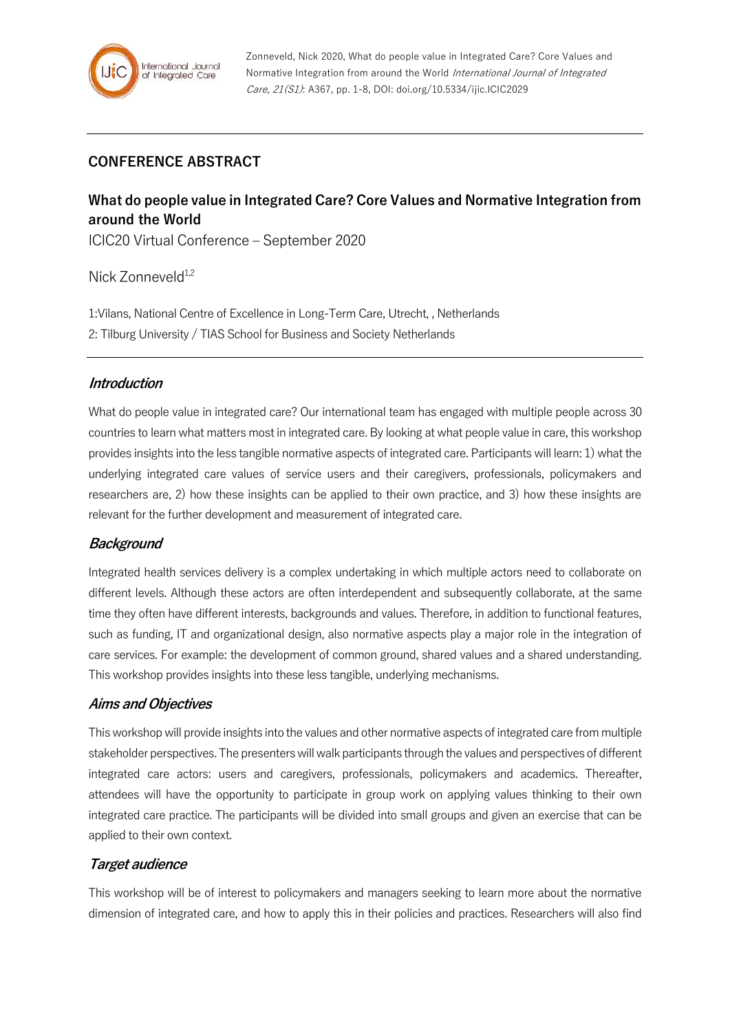# **CONFERENCE ABSTRACT**

# **What do people value in Integrated Care? Core Values and Normative Integration from around the World**

ICIC20 Virtual Conference – September 2020

Nick Zonneveld<sup>1,2</sup>

1:Vilans, National Centre of Excellence in Long-Term Care, Utrecht, , Netherlands 2: Tilburg University / TIAS School for Business and Society Netherlands

### **Introduction**

What do people value in integrated care? Our international team has engaged with multiple people across 30 countries to learn what matters most in integrated care. By looking at what people value in care, this workshop provides insights into the less tangible normative aspects of integrated care. Participants will learn: 1) what the underlying integrated care values of service users and their caregivers, professionals, policymakers and researchers are, 2) how these insights can be applied to their own practice, and 3) how these insights are relevant for the further development and measurement of integrated care.

## **Background**

Integrated health services delivery is a complex undertaking in which multiple actors need to collaborate on different levels. Although these actors are often interdependent and subsequently collaborate, at the same time they often have different interests, backgrounds and values. Therefore, in addition to functional features, such as funding, IT and organizational design, also normative aspects play a major role in the integration of care services. For example: the development of common ground, shared values and a shared understanding. This workshop provides insights into these less tangible, underlying mechanisms.

#### **Aims and Objectives**

This workshop will provide insights into the values and other normative aspects of integrated care from multiple stakeholder perspectives. The presenters will walk participants through the values and perspectives of different integrated care actors: users and caregivers, professionals, policymakers and academics. Thereafter, attendees will have the opportunity to participate in group work on applying values thinking to their own integrated care practice. The participants will be divided into small groups and given an exercise that can be applied to their own context.

## **Target audience**

This workshop will be of interest to policymakers and managers seeking to learn more about the normative dimension of integrated care, and how to apply this in their policies and practices. Researchers will also find